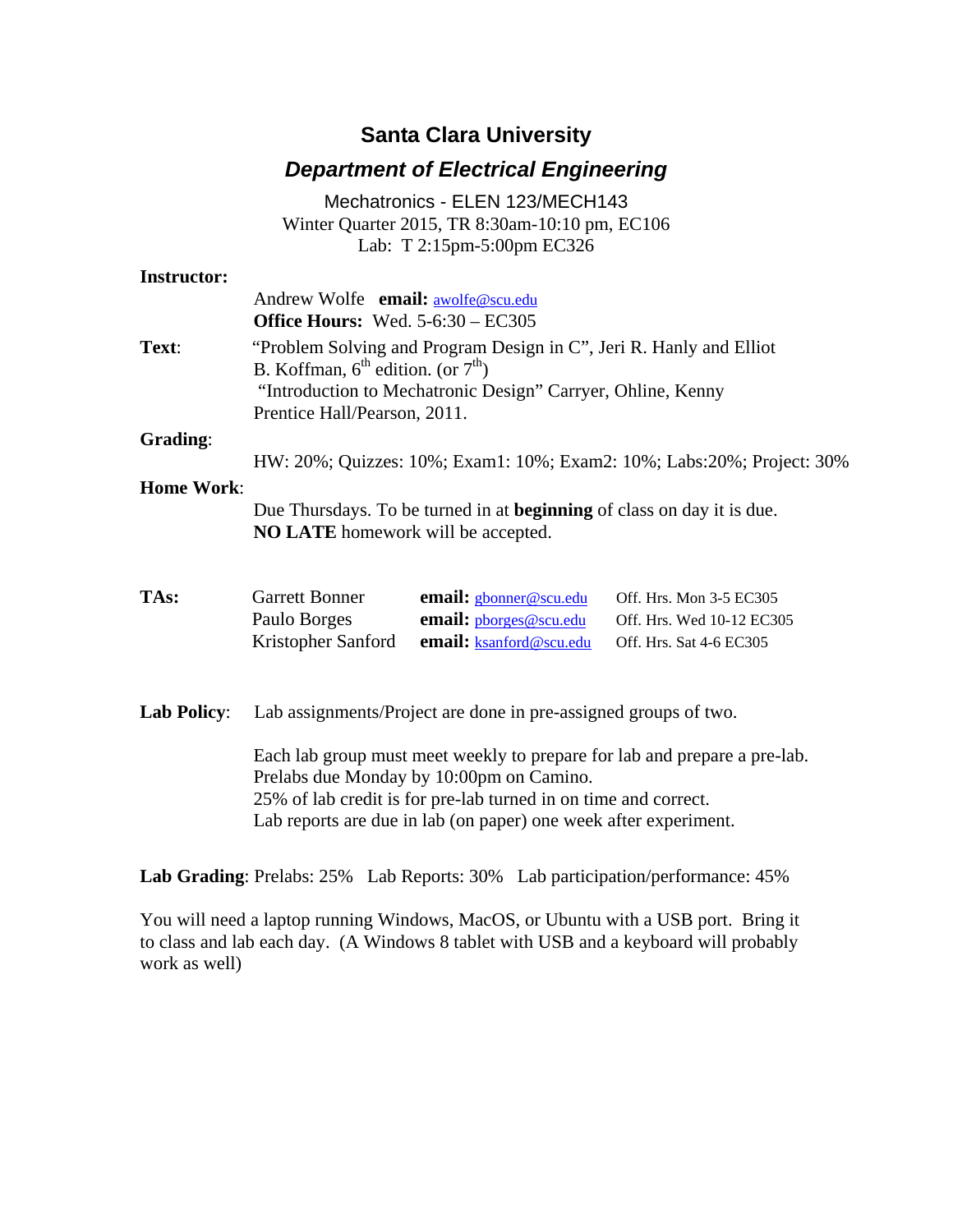## **Santa Clara University**

## *Department of Electrical Engineering*

|                    |                                                                                                                                                                                                                                                              | Mechatronics - ELEN 123/MECH143                                             |                                                                                 |  |
|--------------------|--------------------------------------------------------------------------------------------------------------------------------------------------------------------------------------------------------------------------------------------------------------|-----------------------------------------------------------------------------|---------------------------------------------------------------------------------|--|
|                    |                                                                                                                                                                                                                                                              | Winter Quarter 2015, TR 8:30am-10:10 pm, EC106                              |                                                                                 |  |
|                    |                                                                                                                                                                                                                                                              | Lab: T 2:15pm-5:00pm EC326                                                  |                                                                                 |  |
| <b>Instructor:</b> |                                                                                                                                                                                                                                                              |                                                                             |                                                                                 |  |
|                    | Andrew Wolfe email: awolfe@scu.edu<br><b>Office Hours:</b> Wed. 5-6:30 - EC305                                                                                                                                                                               |                                                                             |                                                                                 |  |
| Text:              | "Problem Solving and Program Design in C", Jeri R. Hanly and Elliot<br>B. Koffman, $6^{\text{th}}$ edition. (or $7^{\text{th}}$ )<br>"Introduction to Mechatronic Design" Carryer, Ohline, Kenny<br>Prentice Hall/Pearson, 2011.                             |                                                                             |                                                                                 |  |
| Grading:           | HW: 20%; Quizzes: 10%; Exam1: 10%; Exam2: 10%; Labs: 20%; Project: 30%                                                                                                                                                                                       |                                                                             |                                                                                 |  |
| <b>Home Work:</b>  | Due Thursdays. To be turned in at <b>beginning</b> of class on day it is due.<br>NO LATE homework will be accepted.                                                                                                                                          |                                                                             |                                                                                 |  |
| TAs:               | <b>Garrett Bonner</b><br>Paulo Borges<br>Kristopher Sanford                                                                                                                                                                                                  | email: gbonner@scu.edu<br>email: phorges@scu.edu<br>email: ksanford@scu.edu | Off. Hrs. Mon 3-5 EC305<br>Off. Hrs. Wed 10-12 EC305<br>Off. Hrs. Sat 4-6 EC305 |  |
| <b>Lab Policy:</b> | Lab assignments/Project are done in pre-assigned groups of two.                                                                                                                                                                                              |                                                                             |                                                                                 |  |
|                    | Each lab group must meet weekly to prepare for lab and prepare a pre-lab.<br>Prelabs due Monday by 10:00pm on Camino.<br>25% of lab credit is for pre-lab turned in on time and correct.<br>Lab reports are due in lab (on paper) one week after experiment. |                                                                             |                                                                                 |  |

**Lab Grading**: Prelabs: 25% Lab Reports: 30% Lab participation/performance: 45%

You will need a laptop running Windows, MacOS, or Ubuntu with a USB port. Bring it to class and lab each day. (A Windows 8 tablet with USB and a keyboard will probably work as well)